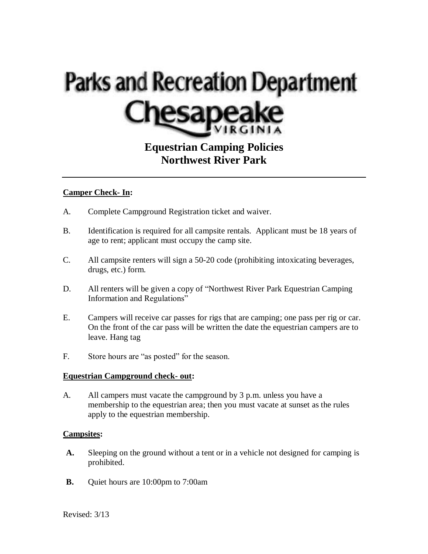# **Parks and Recreation Department**

# **Equestrian Camping Policies Northwest River Park**

#### **Camper Check- In:**

- A. Complete Campground Registration ticket and waiver.
- B. Identification is required for all campsite rentals. Applicant must be 18 years of age to rent; applicant must occupy the camp site.
- C. All campsite renters will sign a 50-20 code (prohibiting intoxicating beverages, drugs, etc.) form.
- D. All renters will be given a copy of "Northwest River Park Equestrian Camping Information and Regulations"
- E. Campers will receive car passes for rigs that are camping; one pass per rig or car. On the front of the car pass will be written the date the equestrian campers are to leave. Hang tag
- F. Store hours are "as posted" for the season.

#### **Equestrian Campground check- out:**

A. All campers must vacate the campground by 3 p.m. unless you have a membership to the equestrian area; then you must vacate at sunset as the rules apply to the equestrian membership.

#### **Campsites:**

- **A.** Sleeping on the ground without a tent or in a vehicle not designed for camping is prohibited.
- **B.** Quiet hours are 10:00pm to 7:00am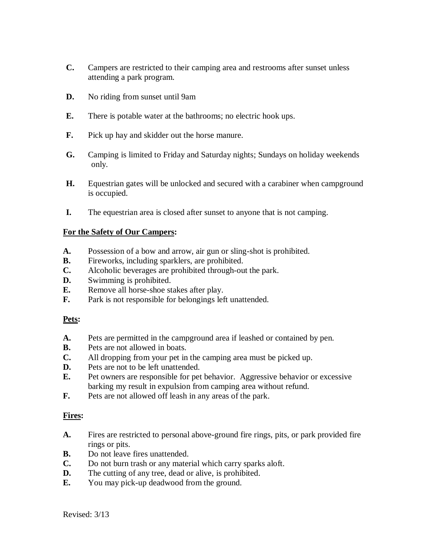- **C.** Campers are restricted to their camping area and restrooms after sunset unless attending a park program.
- **D.** No riding from sunset until 9am
- **E.** There is potable water at the bathrooms; no electric hook ups.
- **F.** Pick up hay and skidder out the horse manure.
- **G.** Camping is limited to Friday and Saturday nights; Sundays on holiday weekends only.
- **H.** Equestrian gates will be unlocked and secured with a carabiner when campground is occupied.
- **I.** The equestrian area is closed after sunset to anyone that is not camping.

#### **For the Safety of Our Campers:**

- **A.** Possession of a bow and arrow, air gun or sling-shot is prohibited.
- **B.** Fireworks, including sparklers, are prohibited.
- **C.** Alcoholic beverages are prohibited through-out the park.
- **D.** Swimming is prohibited.
- **E.** Remove all horse-shoe stakes after play.
- **F.** Park is not responsible for belongings left unattended.

#### **Pets:**

- **A.** Pets are permitted in the campground area if leashed or contained by pen.
- **B.** Pets are not allowed in boats.
- **C.** All dropping from your pet in the camping area must be picked up.
- **D.** Pets are not to be left unattended.
- **E.** Pet owners are responsible for pet behavior. Aggressive behavior or excessive barking my result in expulsion from camping area without refund.
- **F.** Pets are not allowed off leash in any areas of the park.

# **Fires:**

- **A.** Fires are restricted to personal above-ground fire rings, pits, or park provided fire rings or pits.
- **B.** Do not leave fires unattended.
- **C.** Do not burn trash or any material which carry sparks aloft.
- **D.** The cutting of any tree, dead or alive, is prohibited.
- **E.** You may pick-up deadwood from the ground.